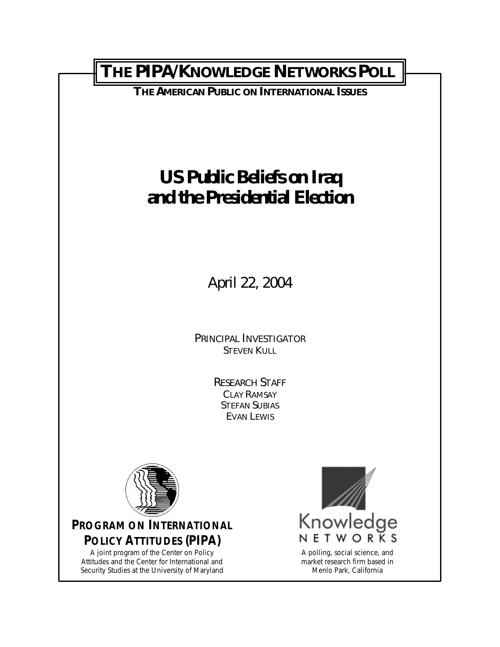# **THE PIPA/KNOWLEDGE NETWORKS POLL**

**THE AMERICAN PUBLIC ON INTERNATIONAL ISSUES**

# **US Public Beliefs on Iraq and the Presidential Election**

April 22, 2004

*PRINCIPAL INVESTIGATOR* STEVEN KULL

> *RESEARCH STAFF* CLAY RAMSAY STEFAN SUBIAS EVAN LEWIS



**PROGRAM ON INTERNATIONAL POLICY ATTITUDES (PIPA)**

A joint program of the Center on Policy Attitudes and the Center for International and Security Studies at the University of Maryland



market research firm based in Menlo Park, California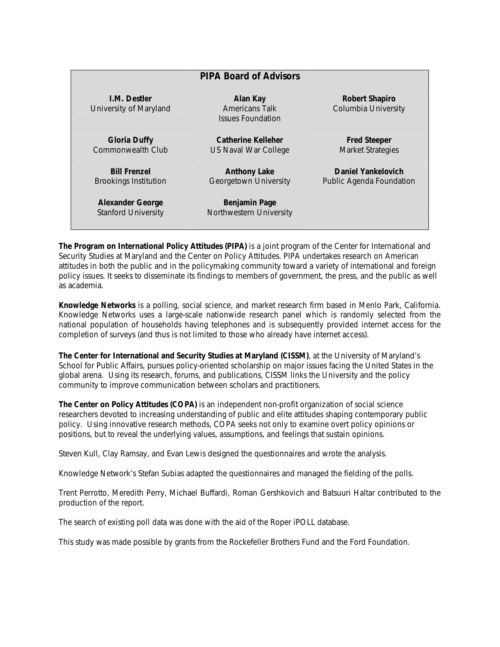|                                                       | <b>PIPA Board of Advisors</b>                                 |                                                 |
|-------------------------------------------------------|---------------------------------------------------------------|-------------------------------------------------|
| <b>I.M. Destler</b><br>University of Maryland         | Alan Kay<br><b>Americans Talk</b><br><b>Issues Foundation</b> | Robert Shapiro<br>Columbia University           |
| <b>Gloria Duffy</b><br>Commonwealth Club              | <b>Catherine Kelleher</b><br>US Naval War College             | <b>Fred Steeper</b><br><b>Market Strategies</b> |
| <b>Bill Frenzel</b><br><b>Brookings Institution</b>   | <b>Anthony Lake</b><br>Georgetown University                  | Daniel Yankelovich<br>Public Agenda Foundation  |
| <b>Alexander George</b><br><b>Stanford University</b> | Benjamin Page<br>Northwestern University                      |                                                 |

**The Program on International Policy Attitudes (PIPA)** is a joint program of the Center for International and Security Studies at Maryland and the Center on Policy Attitudes. PIPA undertakes research on American attitudes in both the public and in the policymaking community toward a variety of international and foreign policy issues. It seeks to disseminate its findings to members of government, the press, and the public as well as academia.

**Knowledge Networks** is a polling, social science, and market research firm based in Menlo Park, California. Knowledge Networks uses a large-scale nationwide research panel which is randomly selected from the national population of households having telephones and is subsequently provided internet access for the completion of surveys (and thus is not limited to those who already have internet access).

**The Center for International and Security Studies at Maryland (CISSM)**, at the University of Maryland's School for Public Affairs, pursues policy-oriented scholarship on major issues facing the United States in the global arena. Using its research, forums, and publications, CISSM links the University and the policy community to improve communication between scholars and practitioners.

**The Center on Policy Attitudes (COPA)** is an independent non-profit organization of social science researchers devoted to increasing understanding of public and elite attitudes shaping contemporary public policy. Using innovative research methods, COPA seeks not only to examine overt policy opinions or positions, but to reveal the underlying values, assumptions, and feelings that sustain opinions.

Steven Kull, Clay Ramsay, and Evan Lewis designed the questionnaires and wrote the analysis.

Knowledge Network's Stefan Subias adapted the questionnaires and managed the fielding of the polls.

Trent Perrotto, Meredith Perry, Michael Buffardi, Roman Gershkovich and Batsuuri Haltar contributed to the production of the report.

The search of existing poll data was done with the aid of the Roper iPOLL database.

This study was made possible by grants from the Rockefeller Brothers Fund and the Ford Foundation.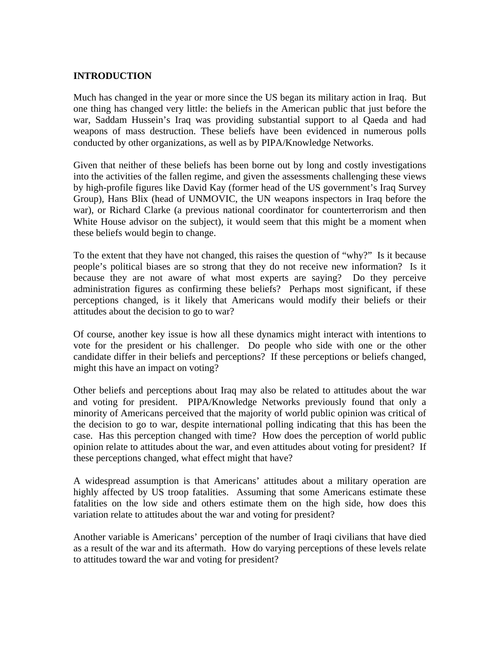#### **INTRODUCTION**

Much has changed in the year or more since the US began its military action in Iraq. But one thing has changed very little: the beliefs in the American public that just before the war, Saddam Hussein's Iraq was providing substantial support to al Qaeda and had weapons of mass destruction. These beliefs have been evidenced in numerous polls conducted by other organizations, as well as by PIPA/Knowledge Networks.

Given that neither of these beliefs has been borne out by long and costly investigations into the activities of the fallen regime, and given the assessments challenging these views by high-profile figures like David Kay (former head of the US government's Iraq Survey Group), Hans Blix (head of UNMOVIC, the UN weapons inspectors in Iraq before the war), or Richard Clarke (a previous national coordinator for counterterrorism and then White House advisor on the subject), it would seem that this might be a moment when these beliefs would begin to change.

To the extent that they have not changed, this raises the question of "why?" Is it because people's political biases are so strong that they do not receive new information? Is it because they are not aware of what most experts are saying? Do they perceive administration figures as confirming these beliefs? Perhaps most significant, if these perceptions changed, is it likely that Americans would modify their beliefs or their attitudes about the decision to go to war?

Of course, another key issue is how all these dynamics might interact with intentions to vote for the president or his challenger. Do people who side with one or the other candidate differ in their beliefs and perceptions? If these perceptions or beliefs changed, might this have an impact on voting?

Other beliefs and perceptions about Iraq may also be related to attitudes about the war and voting for president. PIPA/Knowledge Networks previously found that only a minority of Americans perceived that the majority of world public opinion was critical of the decision to go to war, despite international polling indicating that this has been the case. Has this perception changed with time? How does the perception of world public opinion relate to attitudes about the war, and even attitudes about voting for president? If these perceptions changed, what effect might that have?

A widespread assumption is that Americans' attitudes about a military operation are highly affected by US troop fatalities. Assuming that some Americans estimate these fatalities on the low side and others estimate them on the high side, how does this variation relate to attitudes about the war and voting for president?

Another variable is Americans' perception of the number of Iraqi civilians that have died as a result of the war and its aftermath. How do varying perceptions of these levels relate to attitudes toward the war and voting for president?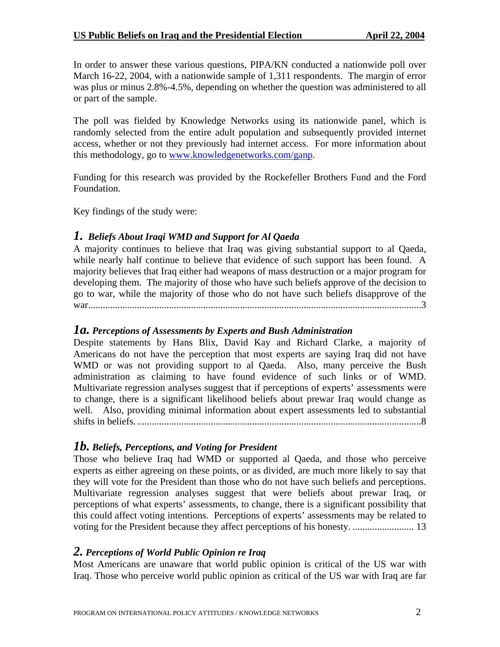In order to answer these various questions, PIPA/KN conducted a nationwide poll over March 16-22, 2004, with a nationwide sample of 1,311 respondents. The margin of error was plus or minus 2.8%-4.5%, depending on whether the question was administered to all or part of the sample.

The poll was fielded by Knowledge Networks using its nationwide panel, which is randomly selected from the entire adult population and subsequently provided internet access, whether or not they previously had internet access. For more information about this methodology, go to [www.knowledgenetworks.com/ganp.](http://www.knowledgenetworks.com/ganp)

Funding for this research was provided by the Rockefeller Brothers Fund and the Ford Foundation.

Key findings of the study were:

# *1. Beliefs About Iraqi WMD and Support for Al Qaeda*

A majority continues to believe that Iraq was giving substantial support to al Qaeda, while nearly half continue to believe that evidence of such support has been found. A majority believes that Iraq either had weapons of mass destruction or a major program for developing them. The majority of those who have such beliefs approve of the decision to go to war, while the majority of those who do not have such beliefs disapprove of the war........................................................................................................................................3

## *1a. Perceptions of Assessments by Experts and Bush Administration*

Despite statements by Hans Blix, David Kay and Richard Clarke, a majority of Americans do not have the perception that most experts are saying Iraq did not have WMD or was not providing support to al Qaeda. Also, many perceive the Bush administration as claiming to have found evidence of such links or of WMD. Multivariate regression analyses suggest that if perceptions of experts' assessments were to change, there is a significant likelihood beliefs about prewar Iraq would change as well. Also, providing minimal information about expert assessments led to substantial shifts in beliefs. ....................................................................................................................8

# *1b. Beliefs, Perceptions, and Voting for President*

Those who believe Iraq had WMD or supported al Qaeda, and those who perceive experts as either agreeing on these points, or as divided, are much more likely to say that they will vote for the President than those who do not have such beliefs and perceptions. Multivariate regression analyses suggest that were beliefs about prewar Iraq, or perceptions of what experts' assessments, to change, there is a significant possibility that this could affect voting intentions. Perceptions of experts' assessments may be related to voting for the President because they affect perceptions of his honesty. ......................... 13

## *2. Perceptions of World Public Opinion re Iraq*

Most Americans are unaware that world public opinion is critical of the US war with Iraq. Those who perceive world public opinion as critical of the US war with Iraq are far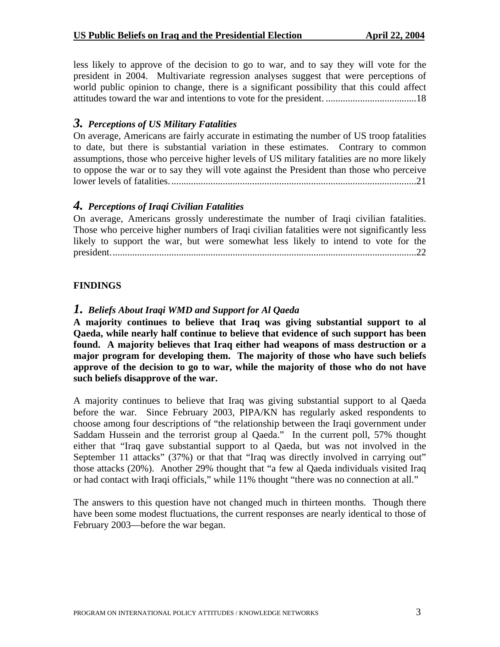less likely to approve of the decision to go to war, and to say they will vote for the president in 2004. Multivariate regression analyses suggest that were perceptions of world public opinion to change, there is a significant possibility that this could affect attitudes toward the war and intentions to vote for the president. .....................................18

## *3. Perceptions of US Military Fatalities*

On average, Americans are fairly accurate in estimating the number of US troop fatalities to date, but there is substantial variation in these estimates. Contrary to common assumptions, those who perceive higher levels of US military fatalities are no more likely to oppose the war or to say they will vote against the President than those who perceive lower levels of fatalities.....................................................................................................21

# *4. Perceptions of Iraqi Civilian Fatalities*

On average, Americans grossly underestimate the number of Iraqi civilian fatalities. Those who perceive higher numbers of Iraqi civilian fatalities were not significantly less likely to support the war, but were somewhat less likely to intend to vote for the president.............................................................................................................................22

## **FINDINGS**

# *1. Beliefs About Iraqi WMD and Support for Al Qaeda*

**A majority continues to believe that Iraq was giving substantial support to al Qaeda, while nearly half continue to believe that evidence of such support has been found. A majority believes that Iraq either had weapons of mass destruction or a major program for developing them. The majority of those who have such beliefs approve of the decision to go to war, while the majority of those who do not have such beliefs disapprove of the war.** 

A majority continues to believe that Iraq was giving substantial support to al Qaeda before the war. Since February 2003, PIPA/KN has regularly asked respondents to choose among four descriptions of "the relationship between the Iraqi government under Saddam Hussein and the terrorist group al Qaeda." In the current poll, 57% thought either that "Iraq gave substantial support to al Qaeda, but was not involved in the September 11 attacks" (37%) or that that "Iraq was directly involved in carrying out" those attacks (20%). Another 29% thought that "a few al Qaeda individuals visited Iraq or had contact with Iraqi officials," while 11% thought "there was no connection at all."

The answers to this question have not changed much in thirteen months. Though there have been some modest fluctuations, the current responses are nearly identical to those of February 2003—before the war began.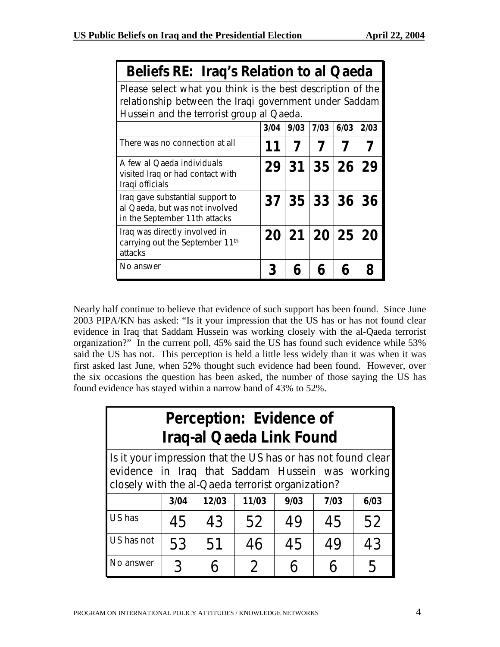|  | Beliefs RE: Iraq's Relation to al Qaeda |
|--|-----------------------------------------|
|--|-----------------------------------------|

*Please select what you think is the best description of the relationship between the Iraqi government under Saddam Hussein and the terrorist group al Qaeda.* 

| Husselli aliu lile tellulist yluup al-Qaeua.                                                        |                 |      |             |      |      |  |
|-----------------------------------------------------------------------------------------------------|-----------------|------|-------------|------|------|--|
|                                                                                                     | 3/04            | 9/03 | 7/03        | 6/03 | 2/03 |  |
| There was no connection at all                                                                      |                 |      |             |      |      |  |
| A few al Qaeda individuals<br>visited Iraq or had contact with<br>Iraqi officials                   |                 |      | 29 31 35 26 |      | 29   |  |
| Iraq gave substantial support to<br>al Qaeda, but was not involved<br>in the September 11th attacks |                 |      | 37 35 33 36 |      | 36   |  |
| Iraq was directly involved in<br>carrying out the September 11th<br>attacks                         | 20 <sub>1</sub> |      | 21 20 25 20 |      |      |  |
| No answer                                                                                           | 3               |      | 6           |      |      |  |

Nearly half continue to believe that evidence of such support has been found. Since June 2003 PIPA/KN has asked: "Is it your impression that the US has or has not found clear evidence in Iraq that Saddam Hussein was working closely with the al-Qaeda terrorist organization?" In the current poll, 45% said the US has found such evidence while 53% said the US has not. This perception is held a little less widely than it was when it was first asked last June, when 52% thought such evidence had been found. However, over the six occasions the question has been asked, the number of those saying the US has found evidence has stayed within a narrow band of 43% to 52%.

| Perception: Evidence of<br><b>Iraq-al Qaeda Link Found</b>                                                                                                            |      |       |               |      |      |      |
|-----------------------------------------------------------------------------------------------------------------------------------------------------------------------|------|-------|---------------|------|------|------|
| Is it your impression that the US has or has not found clear<br>evidence in Iraq that Saddam Hussein was working<br>closely with the al-Qaeda terrorist organization? |      |       |               |      |      |      |
|                                                                                                                                                                       | 3/04 | 12/03 | 11/03         | 9/03 | 7/03 | 6/03 |
| US has                                                                                                                                                                | 45   | 43    | 52            | 49   | 45   | 52   |
| US has not                                                                                                                                                            | 53   | 51    | 46            | 45   | 49   | 43   |
| No answer                                                                                                                                                             | 3    |       | $\mathcal{P}$ |      |      |      |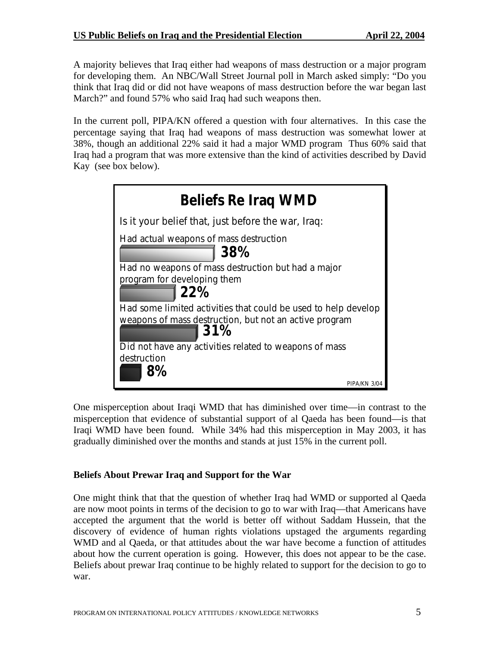A majority believes that Iraq either had weapons of mass destruction or a major program for developing them. An NBC/Wall Street Journal poll in March asked simply: "Do you think that Iraq did or did not have weapons of mass destruction before the war began last March?" and found 57% who said Iraq had such weapons then.

In the current poll, PIPA/KN offered a question with four alternatives. In this case the percentage saying that Iraq had weapons of mass destruction was somewhat lower at 38%, though an additional 22% said it had a major WMD program Thus 60% said that Iraq had a program that was more extensive than the kind of activities described by David Kay (see box below).

| <b>Beliefs Re Iraq WMD</b>                                     |  |  |  |  |
|----------------------------------------------------------------|--|--|--|--|
| Is it your belief that, just before the war, Iraq:             |  |  |  |  |
| Had actual weapons of mass destruction<br>38%                  |  |  |  |  |
| Had no weapons of mass destruction but had a major             |  |  |  |  |
| program for developing them<br>  22%                           |  |  |  |  |
| Had some limited activities that could be used to help develop |  |  |  |  |
| weapons of mass destruction, but not an active program<br>31%  |  |  |  |  |
| Did not have any activities related to weapons of mass         |  |  |  |  |
| destruction                                                    |  |  |  |  |
|                                                                |  |  |  |  |
| PIPA/KN 3                                                      |  |  |  |  |

One misperception about Iraqi WMD that has diminished over time—in contrast to the misperception that evidence of substantial support of al Qaeda has been found—is that Iraqi WMD have been found. While 34% had this misperception in May 2003, it has gradually diminished over the months and stands at just 15% in the current poll.

#### **Beliefs About Prewar Iraq and Support for the War**

One might think that that the question of whether Iraq had WMD or supported al Qaeda are now moot points in terms of the decision to go to war with Iraq—that Americans have accepted the argument that the world is better off without Saddam Hussein, that the discovery of evidence of human rights violations upstaged the arguments regarding WMD and al Qaeda, or that attitudes about the war have become a function of attitudes about how the current operation is going. However, this does not appear to be the case. Beliefs about prewar Iraq continue to be highly related to support for the decision to go to war.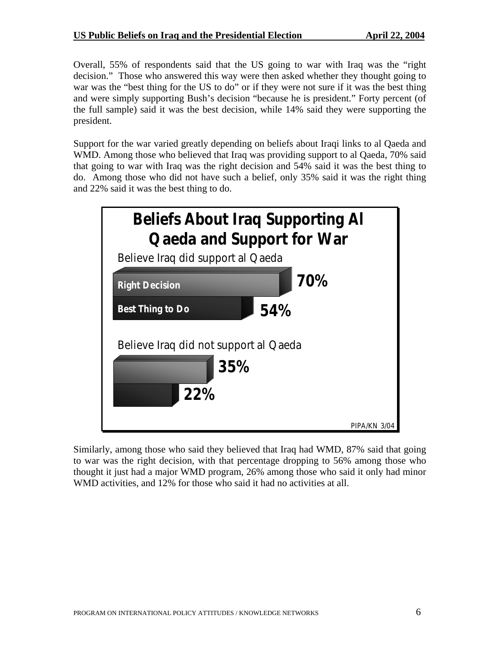Overall, 55% of respondents said that the US going to war with Iraq was the "right decision." Those who answered this way were then asked whether they thought going to war was the "best thing for the US to do" or if they were not sure if it was the best thing and were simply supporting Bush's decision "because he is president." Forty percent (of the full sample) said it was the best decision, while 14% said they were supporting the president.

Support for the war varied greatly depending on beliefs about Iraqi links to al Qaeda and WMD. Among those who believed that Iraq was providing support to al Qaeda, 70% said that going to war with Iraq was the right decision and 54% said it was the best thing to do. Among those who did not have such a belief, only 35% said it was the right thing and 22% said it was the best thing to do.



Similarly, among those who said they believed that Iraq had WMD, 87% said that going to war was the right decision, with that percentage dropping to 56% among those who thought it just had a major WMD program, 26% among those who said it only had minor WMD activities, and 12% for those who said it had no activities at all.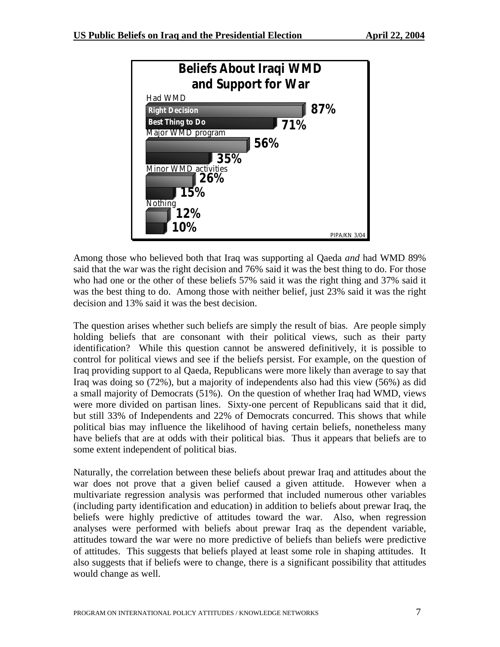

Among those who believed both that Iraq was supporting al Qaeda *and* had WMD 89% said that the war was the right decision and 76% said it was the best thing to do. For those who had one or the other of these beliefs 57% said it was the right thing and 37% said it was the best thing to do. Among those with neither belief, just 23% said it was the right decision and 13% said it was the best decision.

The question arises whether such beliefs are simply the result of bias. Are people simply holding beliefs that are consonant with their political views, such as their party identification? While this question cannot be answered definitively, it is possible to control for political views and see if the beliefs persist. For example, on the question of Iraq providing support to al Qaeda, Republicans were more likely than average to say that Iraq was doing so (72%), but a majority of independents also had this view (56%) as did a small majority of Democrats (51%). On the question of whether Iraq had WMD, views were more divided on partisan lines. Sixty-one percent of Republicans said that it did, but still 33% of Independents and 22% of Democrats concurred. This shows that while political bias may influence the likelihood of having certain beliefs, nonetheless many have beliefs that are at odds with their political bias. Thus it appears that beliefs are to some extent independent of political bias.

Naturally, the correlation between these beliefs about prewar Iraq and attitudes about the war does not prove that a given belief caused a given attitude. However when a multivariate regression analysis was performed that included numerous other variables (including party identification and education) in addition to beliefs about prewar Iraq, the beliefs were highly predictive of attitudes toward the war. Also, when regression analyses were performed with beliefs about prewar Iraq as the dependent variable, attitudes toward the war were no more predictive of beliefs than beliefs were predictive of attitudes. This suggests that beliefs played at least some role in shaping attitudes. It also suggests that if beliefs were to change, there is a significant possibility that attitudes would change as well.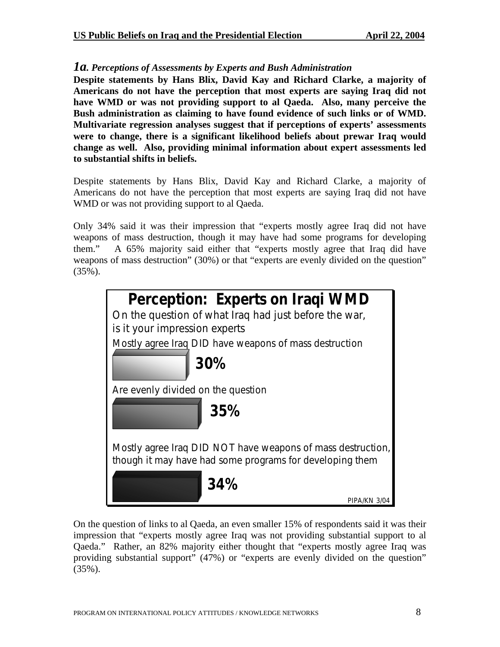#### *1a. Perceptions of Assessments by Experts and Bush Administration*

**Despite statements by Hans Blix, David Kay and Richard Clarke, a majority of Americans do not have the perception that most experts are saying Iraq did not have WMD or was not providing support to al Qaeda. Also, many perceive the Bush administration as claiming to have found evidence of such links or of WMD. Multivariate regression analyses suggest that if perceptions of experts' assessments were to change, there is a significant likelihood beliefs about prewar Iraq would change as well. Also, providing minimal information about expert assessments led to substantial shifts in beliefs.** 

Despite statements by Hans Blix, David Kay and Richard Clarke, a majority of Americans do not have the perception that most experts are saying Iraq did not have WMD or was not providing support to al Qaeda.

Only 34% said it was their impression that "experts mostly agree Iraq did not have weapons of mass destruction, though it may have had some programs for developing them." A 65% majority said either that "experts mostly agree that Iraq did have weapons of mass destruction" (30%) or that "experts are evenly divided on the question" (35%).



On the question of links to al Qaeda, an even smaller 15% of respondents said it was their impression that "experts mostly agree Iraq was not providing substantial support to al Qaeda." Rather, an 82% majority either thought that "experts mostly agree Iraq was providing substantial support" (47%) or "experts are evenly divided on the question" (35%).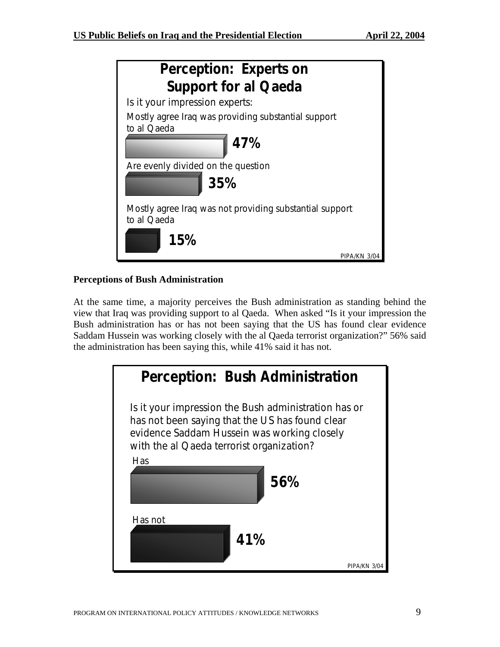| Perception: Experts on                                                 |
|------------------------------------------------------------------------|
| <b>Support for al Qaeda</b>                                            |
| Is it your impression experts:                                         |
| Mostly agree Iraq was providing substantial support<br>to al Qaeda     |
| 47%                                                                    |
| Are evenly divided on the question<br>35%                              |
| Mostly agree Iraq was not providing substantial support<br>to al Qaeda |
| 15%<br>PIPA/KN 3/04                                                    |

# **Perceptions of Bush Administration**

At the same time, a majority perceives the Bush administration as standing behind the view that Iraq was providing support to al Qaeda. When asked "Is it your impression the Bush administration has or has not been saying that the US has found clear evidence Saddam Hussein was working closely with the al Qaeda terrorist organization?" 56% said the administration has been saying this, while 41% said it has not.

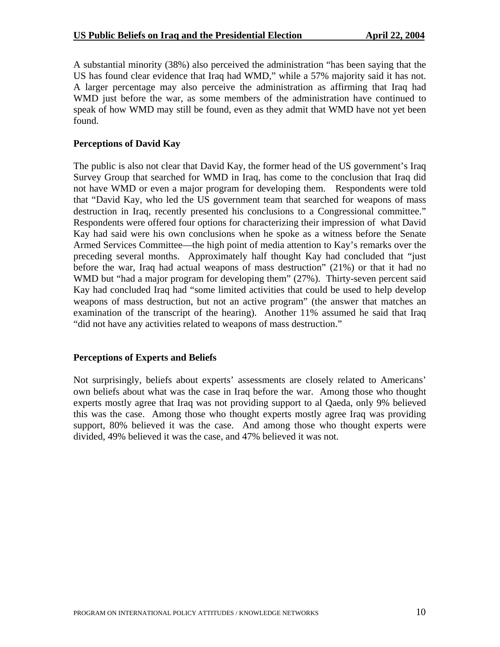A substantial minority (38%) also perceived the administration "has been saying that the US has found clear evidence that Iraq had WMD," while a 57% majority said it has not. A larger percentage may also perceive the administration as affirming that Iraq had WMD just before the war, as some members of the administration have continued to speak of how WMD may still be found, even as they admit that WMD have not yet been found.

#### **Perceptions of David Kay**

The public is also not clear that David Kay, the former head of the US government's Iraq Survey Group that searched for WMD in Iraq, has come to the conclusion that Iraq did not have WMD or even a major program for developing them. Respondents were told that "David Kay, who led the US government team that searched for weapons of mass destruction in Iraq, recently presented his conclusions to a Congressional committee." Respondents were offered four options for characterizing their impression of what David Kay had said were his own conclusions when he spoke as a witness before the Senate Armed Services Committee—the high point of media attention to Kay's remarks over the preceding several months. Approximately half thought Kay had concluded that "just before the war, Iraq had actual weapons of mass destruction" (21%) or that it had no WMD but "had a major program for developing them" (27%). Thirty-seven percent said Kay had concluded Iraq had "some limited activities that could be used to help develop weapons of mass destruction, but not an active program" (the answer that matches an examination of the transcript of the hearing). Another 11% assumed he said that Iraq "did not have any activities related to weapons of mass destruction."

#### **Perceptions of Experts and Beliefs**

Not surprisingly, beliefs about experts' assessments are closely related to Americans' own beliefs about what was the case in Iraq before the war. Among those who thought experts mostly agree that Iraq was not providing support to al Qaeda, only 9% believed this was the case. Among those who thought experts mostly agree Iraq was providing support, 80% believed it was the case. And among those who thought experts were divided, 49% believed it was the case, and 47% believed it was not.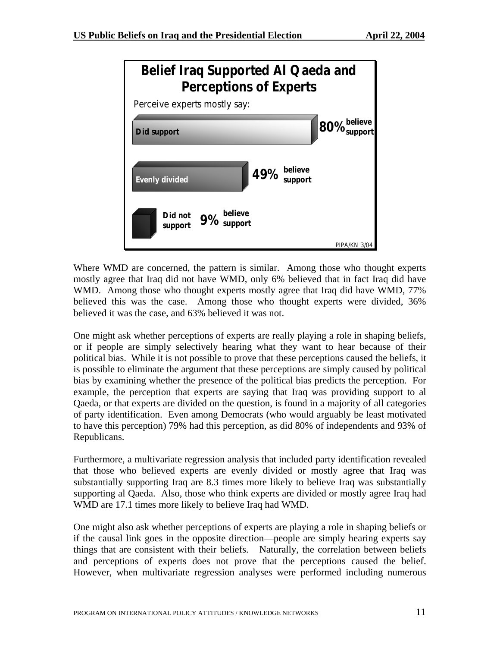

Where WMD are concerned, the pattern is similar. Among those who thought experts mostly agree that Iraq did not have WMD, only 6% believed that in fact Iraq did have WMD. Among those who thought experts mostly agree that Iraq did have WMD, 77% believed this was the case. Among those who thought experts were divided, 36% believed it was the case, and 63% believed it was not.

One might ask whether perceptions of experts are really playing a role in shaping beliefs, or if people are simply selectively hearing what they want to hear because of their political bias. While it is not possible to prove that these perceptions caused the beliefs, it is possible to eliminate the argument that these perceptions are simply caused by political bias by examining whether the presence of the political bias predicts the perception. For example, the perception that experts are saying that Iraq was providing support to al Qaeda, or that experts are divided on the question, is found in a majority of all categories of party identification. Even among Democrats (who would arguably be least motivated to have this perception) 79% had this perception, as did 80% of independents and 93% of Republicans.

Furthermore, a multivariate regression analysis that included party identification revealed that those who believed experts are evenly divided or mostly agree that Iraq was substantially supporting Iraq are 8.3 times more likely to believe Iraq was substantially supporting al Qaeda. Also, those who think experts are divided or mostly agree Iraq had WMD are 17.1 times more likely to believe Iraq had WMD.

One might also ask whether perceptions of experts are playing a role in shaping beliefs or if the causal link goes in the opposite direction—people are simply hearing experts say things that are consistent with their beliefs. Naturally, the correlation between beliefs and perceptions of experts does not prove that the perceptions caused the belief. However, when multivariate regression analyses were performed including numerous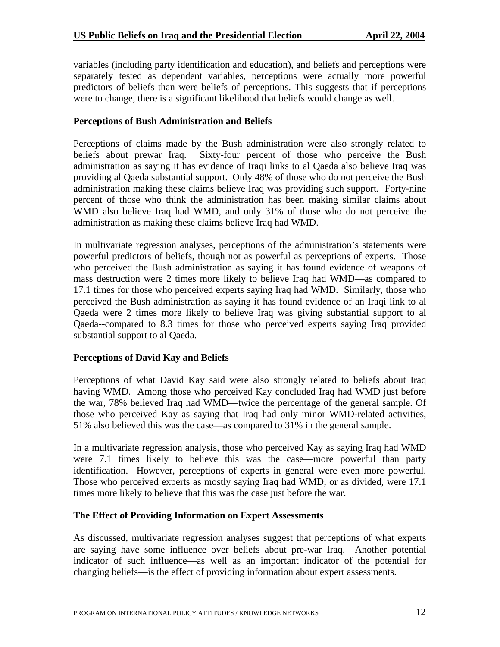variables (including party identification and education), and beliefs and perceptions were separately tested as dependent variables, perceptions were actually more powerful predictors of beliefs than were beliefs of perceptions. This suggests that if perceptions were to change, there is a significant likelihood that beliefs would change as well.

## **Perceptions of Bush Administration and Beliefs**

Perceptions of claims made by the Bush administration were also strongly related to beliefs about prewar Iraq. Sixty-four percent of those who perceive the Bush administration as saying it has evidence of Iraqi links to al Qaeda also believe Iraq was providing al Qaeda substantial support. Only 48% of those who do not perceive the Bush administration making these claims believe Iraq was providing such support. Forty-nine percent of those who think the administration has been making similar claims about WMD also believe Iraq had WMD, and only 31% of those who do not perceive the administration as making these claims believe Iraq had WMD.

In multivariate regression analyses, perceptions of the administration's statements were powerful predictors of beliefs, though not as powerful as perceptions of experts. Those who perceived the Bush administration as saying it has found evidence of weapons of mass destruction were 2 times more likely to believe Iraq had WMD—as compared to 17.1 times for those who perceived experts saying Iraq had WMD. Similarly, those who perceived the Bush administration as saying it has found evidence of an Iraqi link to al Qaeda were 2 times more likely to believe Iraq was giving substantial support to al Qaeda--compared to 8.3 times for those who perceived experts saying Iraq provided substantial support to al Qaeda.

## **Perceptions of David Kay and Beliefs**

Perceptions of what David Kay said were also strongly related to beliefs about Iraq having WMD. Among those who perceived Kay concluded Iraq had WMD just before the war, 78% believed Iraq had WMD—twice the percentage of the general sample. Of those who perceived Kay as saying that Iraq had only minor WMD-related activities, 51% also believed this was the case—as compared to 31% in the general sample.

In a multivariate regression analysis, those who perceived Kay as saying Iraq had WMD were 7.1 times likely to believe this was the case—more powerful than party identification. However, perceptions of experts in general were even more powerful. Those who perceived experts as mostly saying Iraq had WMD, or as divided, were 17.1 times more likely to believe that this was the case just before the war.

#### **The Effect of Providing Information on Expert Assessments**

As discussed, multivariate regression analyses suggest that perceptions of what experts are saying have some influence over beliefs about pre-war Iraq. Another potential indicator of such influence—as well as an important indicator of the potential for changing beliefs—is the effect of providing information about expert assessments.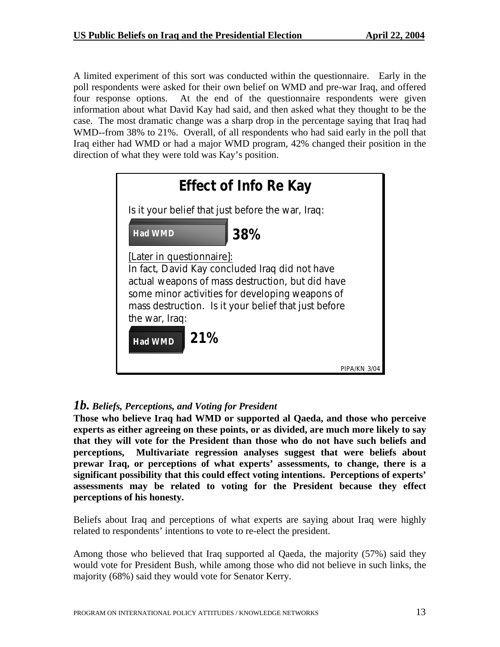A limited experiment of this sort was conducted within the questionnaire. Early in the poll respondents were asked for their own belief on WMD and pre-war Iraq, and offered four response options. At the end of the questionnaire respondents were given information about what David Kay had said, and then asked what they thought to be the case. The most dramatic change was a sharp drop in the percentage saying that Iraq had WMD--from 38% to 21%. Overall, of all respondents who had said early in the poll that Iraq either had WMD or had a major WMD program, 42% changed their position in the direction of what they were told was Kay's position.

| <b>Effect of Info Re Kay</b>                                                                                                                                                                                                                                                          |             |  |  |  |
|---------------------------------------------------------------------------------------------------------------------------------------------------------------------------------------------------------------------------------------------------------------------------------------|-------------|--|--|--|
| Is it your belief that just before the war, Iraq:                                                                                                                                                                                                                                     |             |  |  |  |
| 38%<br><b>Had WMD</b>                                                                                                                                                                                                                                                                 |             |  |  |  |
| [Later in questionnaire]:<br>In fact, David Kay concluded Iraq did not have<br>actual weapons of mass destruction, but did have<br>some minor activities for developing weapons of<br>mass destruction. Is it your belief that just before<br>the war, Iraq:<br>21%<br><b>Had WMD</b> |             |  |  |  |
|                                                                                                                                                                                                                                                                                       | PIPA/KN 3/0 |  |  |  |

# *1b. Beliefs, Perceptions, and Voting for President*

**Those who believe Iraq had WMD or supported al Qaeda, and those who perceive experts as either agreeing on these points, or as divided, are much more likely to say that they will vote for the President than those who do not have such beliefs and perceptions, Multivariate regression analyses suggest that were beliefs about prewar Iraq, or perceptions of what experts' assessments, to change, there is a significant possibility that this could effect voting intentions. Perceptions of experts' assessments may be related to voting for the President because they effect perceptions of his honesty.** 

Beliefs about Iraq and perceptions of what experts are saying about Iraq were highly related to respondents' intentions to vote to re-elect the president.

Among those who believed that Iraq supported al Qaeda, the majority (57%) said they would vote for President Bush, while among those who did not believe in such links, the majority (68%) said they would vote for Senator Kerry.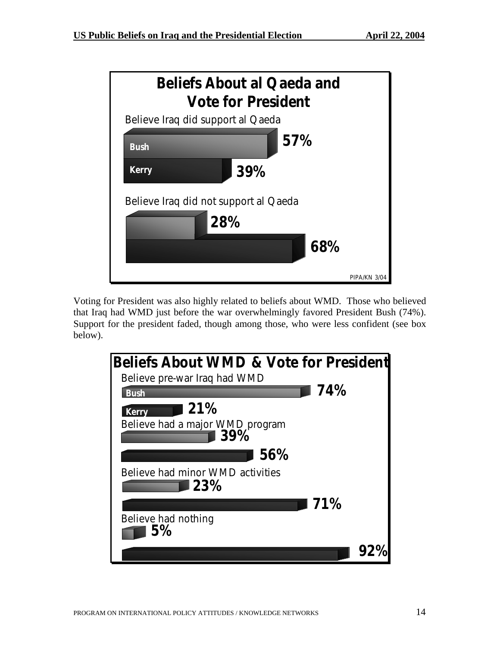

Voting for President was also highly related to beliefs about WMD. Those who believed that Iraq had WMD just before the war overwhelmingly favored President Bush (74%). Support for the president faded, though among those, who were less confident (see box below).

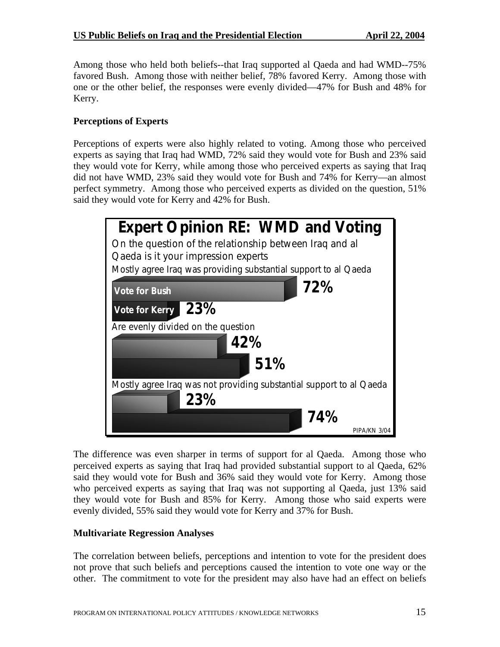Among those who held both beliefs--that Iraq supported al Qaeda and had WMD--75% favored Bush. Among those with neither belief, 78% favored Kerry. Among those with one or the other belief, the responses were evenly divided—47% for Bush and 48% for Kerry.

# **Perceptions of Experts**

Perceptions of experts were also highly related to voting. Among those who perceived experts as saying that Iraq had WMD, 72% said they would vote for Bush and 23% said they would vote for Kerry, while among those who perceived experts as saying that Iraq did not have WMD, 23% said they would vote for Bush and 74% for Kerry—an almost perfect symmetry. Among those who perceived experts as divided on the question, 51% said they would vote for Kerry and 42% for Bush.



The difference was even sharper in terms of support for al Qaeda. Among those who perceived experts as saying that Iraq had provided substantial support to al Qaeda, 62% said they would vote for Bush and 36% said they would vote for Kerry. Among those who perceived experts as saying that Iraq was not supporting al Qaeda, just 13% said they would vote for Bush and 85% for Kerry. Among those who said experts were evenly divided, 55% said they would vote for Kerry and 37% for Bush.

## **Multivariate Regression Analyses**

The correlation between beliefs, perceptions and intention to vote for the president does not prove that such beliefs and perceptions caused the intention to vote one way or the other. The commitment to vote for the president may also have had an effect on beliefs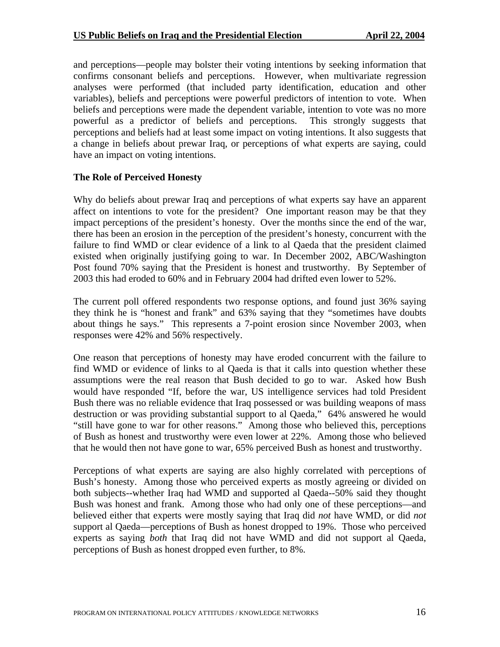and perceptions—people may bolster their voting intentions by seeking information that confirms consonant beliefs and perceptions. However, when multivariate regression analyses were performed (that included party identification, education and other variables), beliefs and perceptions were powerful predictors of intention to vote. When beliefs and perceptions were made the dependent variable, intention to vote was no more powerful as a predictor of beliefs and perceptions. This strongly suggests that perceptions and beliefs had at least some impact on voting intentions. It also suggests that a change in beliefs about prewar Iraq, or perceptions of what experts are saying, could have an impact on voting intentions.

#### **The Role of Perceived Honesty**

Why do beliefs about prewar Iraq and perceptions of what experts say have an apparent affect on intentions to vote for the president? One important reason may be that they impact perceptions of the president's honesty. Over the months since the end of the war, there has been an erosion in the perception of the president's honesty, concurrent with the failure to find WMD or clear evidence of a link to al Qaeda that the president claimed existed when originally justifying going to war. In December 2002, ABC/Washington Post found 70% saying that the President is honest and trustworthy. By September of 2003 this had eroded to 60% and in February 2004 had drifted even lower to 52%.

The current poll offered respondents two response options, and found just 36% saying they think he is "honest and frank" and 63% saying that they "sometimes have doubts about things he says." This represents a 7-point erosion since November 2003, when responses were 42% and 56% respectively.

One reason that perceptions of honesty may have eroded concurrent with the failure to find WMD or evidence of links to al Qaeda is that it calls into question whether these assumptions were the real reason that Bush decided to go to war. Asked how Bush would have responded "If, before the war, US intelligence services had told President Bush there was no reliable evidence that Iraq possessed or was building weapons of mass destruction or was providing substantial support to al Qaeda," 64% answered he would "still have gone to war for other reasons." Among those who believed this, perceptions of Bush as honest and trustworthy were even lower at 22%. Among those who believed that he would then not have gone to war, 65% perceived Bush as honest and trustworthy.

Perceptions of what experts are saying are also highly correlated with perceptions of Bush's honesty. Among those who perceived experts as mostly agreeing or divided on both subjects--whether Iraq had WMD and supported al Qaeda--50% said they thought Bush was honest and frank. Among those who had only one of these perceptions—and believed either that experts were mostly saying that Iraq did *not* have WMD, or did *not* support al Qaeda—perceptions of Bush as honest dropped to 19%. Those who perceived experts as saying *both* that Iraq did not have WMD and did not support al Qaeda, perceptions of Bush as honest dropped even further, to 8%.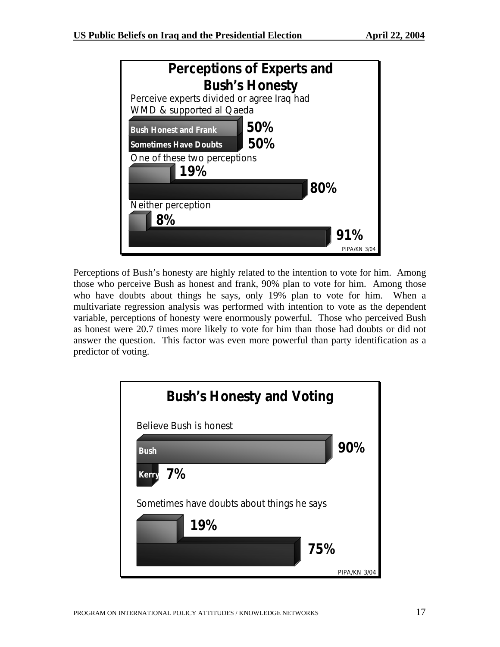

Perceptions of Bush's honesty are highly related to the intention to vote for him. Among those who perceive Bush as honest and frank, 90% plan to vote for him. Among those who have doubts about things he says, only 19% plan to vote for him. When a multivariate regression analysis was performed with intention to vote as the dependent variable, perceptions of honesty were enormously powerful. Those who perceived Bush as honest were 20.7 times more likely to vote for him than those had doubts or did not answer the question. This factor was even more powerful than party identification as a predictor of voting.

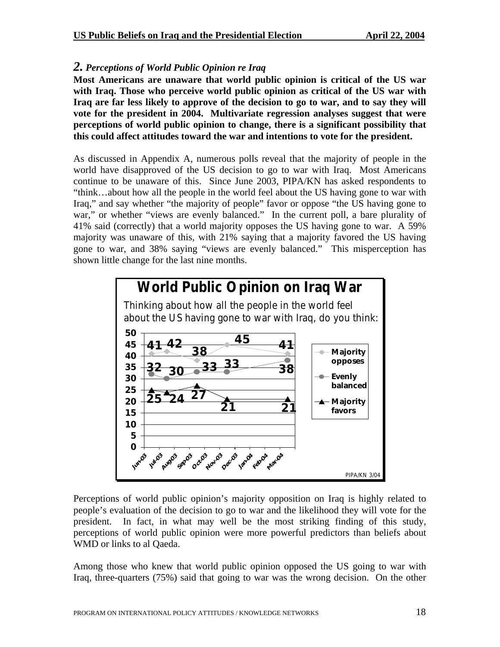## *2. Perceptions of World Public Opinion re Iraq*

**Most Americans are unaware that world public opinion is critical of the US war with Iraq. Those who perceive world public opinion as critical of the US war with Iraq are far less likely to approve of the decision to go to war, and to say they will vote for the president in 2004. Multivariate regression analyses suggest that were perceptions of world public opinion to change, there is a significant possibility that this could affect attitudes toward the war and intentions to vote for the president.**

As discussed in Appendix A, numerous polls reveal that the majority of people in the world have disapproved of the US decision to go to war with Iraq. Most Americans continue to be unaware of this. Since June 2003, PIPA/KN has asked respondents to "think…about how all the people in the world feel about the US having gone to war with Iraq," and say whether "the majority of people" favor or oppose "the US having gone to war," or whether "views are evenly balanced." In the current poll, a bare plurality of 41% said (correctly) that a world majority opposes the US having gone to war. A 59% majority was unaware of this, with 21% saying that a majority favored the US having gone to war, and 38% saying "views are evenly balanced." This misperception has shown little change for the last nine months.



Perceptions of world public opinion's majority opposition on Iraq is highly related to people's evaluation of the decision to go to war and the likelihood they will vote for the president. In fact, in what may well be the most striking finding of this study, perceptions of world public opinion were more powerful predictors than beliefs about WMD or links to al Qaeda.

Among those who knew that world public opinion opposed the US going to war with Iraq, three-quarters (75%) said that going to war was the wrong decision. On the other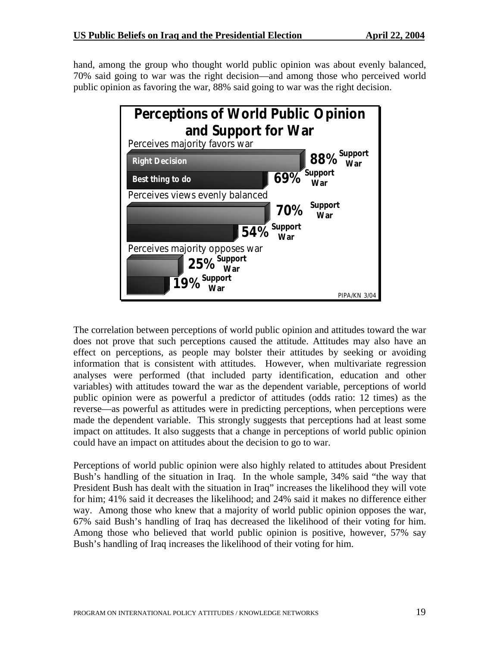hand, among the group who thought world public opinion was about evenly balanced, 70% said going to war was the right decision—and among those who perceived world public opinion as favoring the war, 88% said going to war was the right decision.



The correlation between perceptions of world public opinion and attitudes toward the war does not prove that such perceptions caused the attitude. Attitudes may also have an effect on perceptions, as people may bolster their attitudes by seeking or avoiding information that is consistent with attitudes. However, when multivariate regression analyses were performed (that included party identification, education and other variables) with attitudes toward the war as the dependent variable, perceptions of world public opinion were as powerful a predictor of attitudes (odds ratio: 12 times) as the reverse—as powerful as attitudes were in predicting perceptions, when perceptions were made the dependent variable. This strongly suggests that perceptions had at least some impact on attitudes. It also suggests that a change in perceptions of world public opinion could have an impact on attitudes about the decision to go to war.

Perceptions of world public opinion were also highly related to attitudes about President Bush's handling of the situation in Iraq. In the whole sample, 34% said "the way that President Bush has dealt with the situation in Iraq" increases the likelihood they will vote for him; 41% said it decreases the likelihood; and 24% said it makes no difference either way. Among those who knew that a majority of world public opinion opposes the war, 67% said Bush's handling of Iraq has decreased the likelihood of their voting for him. Among those who believed that world public opinion is positive, however, 57% say Bush's handling of Iraq increases the likelihood of their voting for him.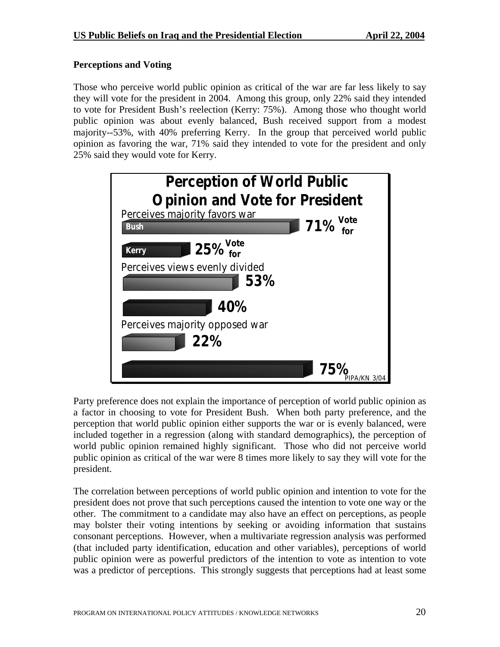# **Perceptions and Voting**

Those who perceive world public opinion as critical of the war are far less likely to say they will vote for the president in 2004. Among this group, only 22% said they intended to vote for President Bush's reelection (Kerry: 75%). Among those who thought world public opinion was about evenly balanced, Bush received support from a modest majority--53%, with 40% preferring Kerry. In the group that perceived world public opinion as favoring the war, 71% said they intended to vote for the president and only 25% said they would vote for Kerry.



Party preference does not explain the importance of perception of world public opinion as a factor in choosing to vote for President Bush. When both party preference, and the perception that world public opinion either supports the war or is evenly balanced, were included together in a regression (along with standard demographics), the perception of world public opinion remained highly significant. Those who did not perceive world public opinion as critical of the war were 8 times more likely to say they will vote for the president.

The correlation between perceptions of world public opinion and intention to vote for the president does not prove that such perceptions caused the intention to vote one way or the other. The commitment to a candidate may also have an effect on perceptions, as people may bolster their voting intentions by seeking or avoiding information that sustains consonant perceptions. However, when a multivariate regression analysis was performed (that included party identification, education and other variables), perceptions of world public opinion were as powerful predictors of the intention to vote as intention to vote was a predictor of perceptions. This strongly suggests that perceptions had at least some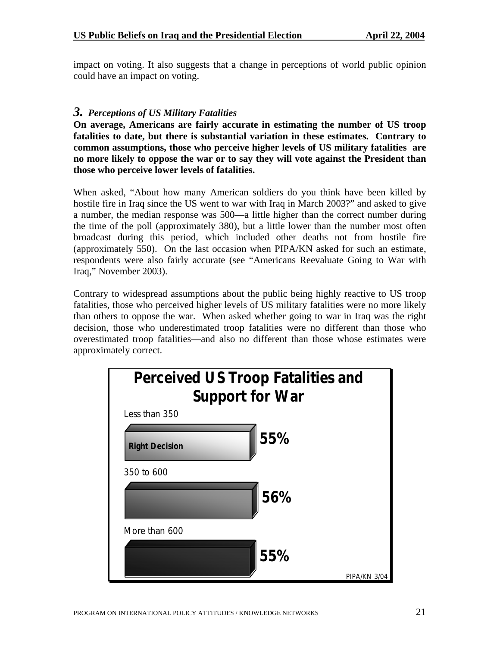impact on voting. It also suggests that a change in perceptions of world public opinion could have an impact on voting.

# *3. Perceptions of US Military Fatalities*

**On average, Americans are fairly accurate in estimating the number of US troop fatalities to date, but there is substantial variation in these estimates. Contrary to common assumptions, those who perceive higher levels of US military fatalities are no more likely to oppose the war or to say they will vote against the President than those who perceive lower levels of fatalities.** 

When asked, "About how many American soldiers do you think have been killed by hostile fire in Iraq since the US went to war with Iraq in March 2003?" and asked to give a number, the median response was 500—a little higher than the correct number during the time of the poll (approximately 380), but a little lower than the number most often broadcast during this period, which included other deaths not from hostile fire (approximately 550). On the last occasion when PIPA/KN asked for such an estimate, respondents were also fairly accurate (see "Americans Reevaluate Going to War with Iraq," November 2003).

Contrary to widespread assumptions about the public being highly reactive to US troop fatalities, those who perceived higher levels of US military fatalities were no more likely than others to oppose the war. When asked whether going to war in Iraq was the right decision, those who underestimated troop fatalities were no different than those who overestimated troop fatalities—and also no different than those whose estimates were approximately correct.

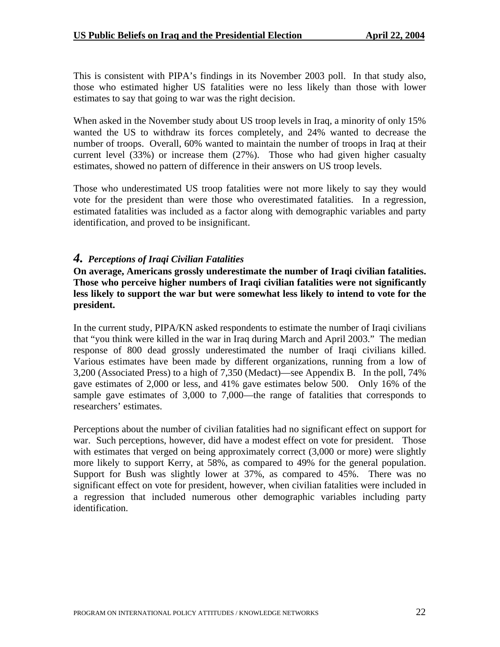This is consistent with PIPA's findings in its November 2003 poll. In that study also, those who estimated higher US fatalities were no less likely than those with lower estimates to say that going to war was the right decision.

When asked in the November study about US troop levels in Iraq, a minority of only 15% wanted the US to withdraw its forces completely, and 24% wanted to decrease the number of troops. Overall, 60% wanted to maintain the number of troops in Iraq at their current level (33%) or increase them (27%). Those who had given higher casualty estimates, showed no pattern of difference in their answers on US troop levels.

Those who underestimated US troop fatalities were not more likely to say they would vote for the president than were those who overestimated fatalities. In a regression, estimated fatalities was included as a factor along with demographic variables and party identification, and proved to be insignificant.

## *4. Perceptions of Iraqi Civilian Fatalities*

**On average, Americans grossly underestimate the number of Iraqi civilian fatalities. Those who perceive higher numbers of Iraqi civilian fatalities were not significantly less likely to support the war but were somewhat less likely to intend to vote for the president.** 

In the current study, PIPA/KN asked respondents to estimate the number of Iraqi civilians that "you think were killed in the war in Iraq during March and April 2003." The median response of 800 dead grossly underestimated the number of Iraqi civilians killed. Various estimates have been made by different organizations, running from a low of 3,200 (Associated Press) to a high of 7,350 (Medact)—see Appendix B. In the poll, 74% gave estimates of 2,000 or less, and 41% gave estimates below 500. Only 16% of the sample gave estimates of 3,000 to 7,000—the range of fatalities that corresponds to researchers' estimates.

Perceptions about the number of civilian fatalities had no significant effect on support for war. Such perceptions, however, did have a modest effect on vote for president. Those with estimates that verged on being approximately correct  $(3,000$  or more) were slightly more likely to support Kerry, at 58%, as compared to 49% for the general population. Support for Bush was slightly lower at 37%, as compared to 45%. There was no significant effect on vote for president, however, when civilian fatalities were included in a regression that included numerous other demographic variables including party identification.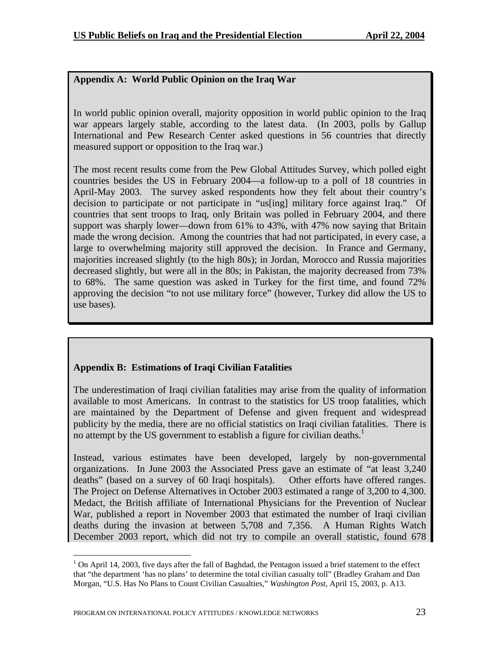# **Appendix A: World Public Opinion on the Iraq War**

In world public opinion overall, majority opposition in world public opinion to the Iraq war appears largely stable, according to the latest data. (In 2003, polls by Gallup International and Pew Research Center asked questions in 56 countries that directly measured support or opposition to the Iraq war.)

The most recent results come from the Pew Global Attitudes Survey, which polled eight countries besides the US in February 2004—a follow-up to a poll of 18 countries in April-May 2003. The survey asked respondents how they felt about their country's decision to participate or not participate in "us[ing] military force against Iraq." Of countries that sent troops to Iraq, only Britain was polled in February 2004, and there support was sharply lower—down from 61% to 43%, with 47% now saying that Britain made the wrong decision. Among the countries that had not participated, in every case, a large to overwhelming majority still approved the decision. In France and Germany, majorities increased slightly (to the high 80s); in Jordan, Morocco and Russia majorities decreased slightly, but were all in the 80s; in Pakistan, the majority decreased from 73% to 68%. The same question was asked in Turkey for the first time, and found 72% approving the decision "to not use military force" (however, Turkey did allow the US to use bases).

# **Appendix B: Estimations of Iraqi Civilian Fatalities**

The underestimation of Iraqi civilian fatalities may arise from the quality of information available to most Americans. In contrast to the statistics for US troop fatalities, which are maintained by the Department of Defense and given frequent and widespread publicity by the media, there are no official statistics on Iraqi civilian fatalities. There is no attempt by the US government to establish a figure for civilian deaths.<sup>1</sup>

Instead, various estimates have been developed, largely by non-governmental organizations. In June 2003 the Associated Press gave an estimate of "at least 3,240 deaths" (based on a survey of 60 Iraqi hospitals). Other efforts have offered ranges. The Project on Defense Alternatives in October 2003 estimated a range of 3,200 to 4,300. Medact, the British affiliate of International Physicians for the Prevention of Nuclear War, published a report in November 2003 that estimated the number of Iraqi civilian deaths during the invasion at between 5,708 and 7,356. A Human Rights Watch December 2003 report, which did not try to compile an overall statistic, found 678

<span id="page-24-0"></span> $\overline{a}$  $1$  On April 14, 2003, five days after the fall of Baghdad, the Pentagon issued a brief statement to the effect that "the department 'has no plans' to determine the total civilian casualty toll" (Bradley Graham and Dan Morgan, "U.S. Has No Plans to Count Civilian Casualties," *Washington Post,* April 15, 2003, p. A13.